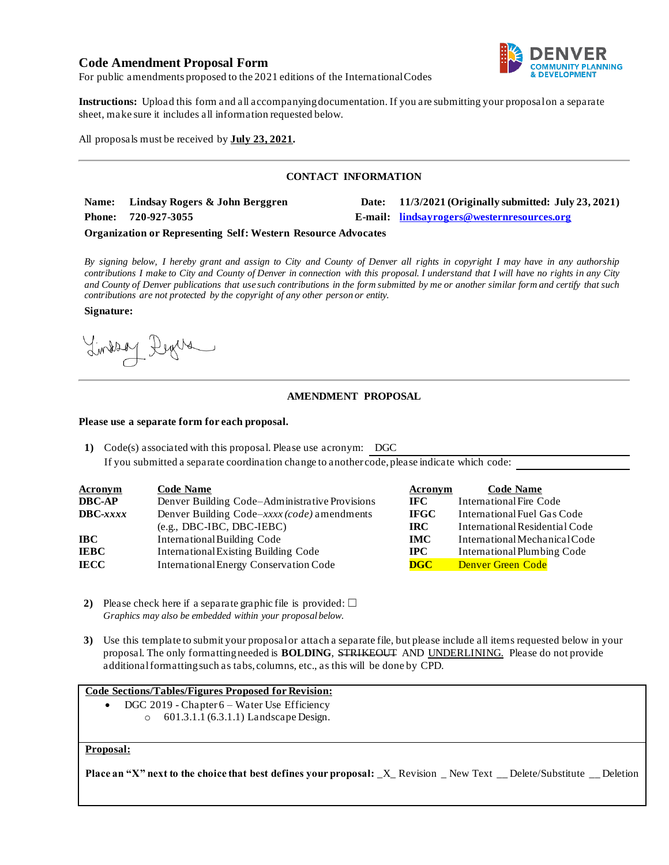# **Code Amendment Proposal Form**



For public amendments proposed to the 2021 editions of the International Codes

**Instructions:** Upload this form and all accompanying documentation. If you are submitting your proposal on a separate sheet, make sure it includes all information requested below.

All proposals must be received by **July 23, 2021.**

### **CONTACT INFORMATION**

| Name: Lindsay Rogers & John Berggren | Date: 11/3/2021 (Originally submitted: July 23, 2021) |
|--------------------------------------|-------------------------------------------------------|
| Phone: 720-927-3055                  | E-mail: lindsayrogers@westernresources.org            |

#### **Organization or Representing Self: Western Resource Advocates**

*By signing below, I hereby grant and assign to City and County of Denver all rights in copyright I may have in any authorship contributions I make to City and County of Denver in connection with this proposal. I understand that I will have no rights in any City and County of Denver publications that use such contributions in the form submitted by me or another similar form and certify that such contributions are not protected by the copyright of any other person or entity.* 

#### **Signature:**

Lindson Degree

### **AMENDMENT PROPOSAL**

#### **Please use a separate form for each proposal.**

**1)** Code(s) associated with this proposal. Please use acronym: DGC If you submitted a separate coordination change to another code, please indicate which code:

| <b>Acronym</b>    | <b>Code Name</b>                               | Acronym     | <b>Code Name</b>               |
|-------------------|------------------------------------------------|-------------|--------------------------------|
| <b>DBC-AP</b>     | Denver Building Code-Administrative Provisions | IFC -       | International Fire Code        |
| $\text{DBC}-xxxx$ | Denver Building Code–xxxx (code) amendments    | <b>IFGC</b> | International Fuel Gas Code    |
|                   | $(e.g., DBC-IBC, DBC-IEBC)$                    | IRC.        | International Residential Code |
| IBC-              | International Building Code                    | <b>IMC</b>  | International Mechanical Code  |
| <b>IEBC</b>       | <b>International Existing Building Code</b>    | IPC-        | International Plumbing Code    |
| IECC              | International Energy Conservation Code         | DGC         | <b>Denver Green Code</b>       |

- **2)** Please check here if a separate graphic file is provided:  $\Box$ *Graphics may also be embedded within your proposal below.*
- **3)** Use this template to submit your proposal or attach a separate file, but please include all items requested below in your proposal. The only formatting needed is **BOLDING**, STRIKEOUT AND UNDERLINING. Please do not provide additional formatting such as tabs, columns, etc., as this will be done by CPD.

## **Code Sections/Tables/Figures Proposed for Revision:**

- DGC 2019 Chapter 6 Water Use Efficiency
	- o 601.3.1.1 (6.3.1.1) Landscape Design.

#### **Proposal:**

**Place an "X" next to the choice that best defines your proposal:** \_X\_ Revision \_ New Text \_\_ Delete/Substitute \_\_ Deletion